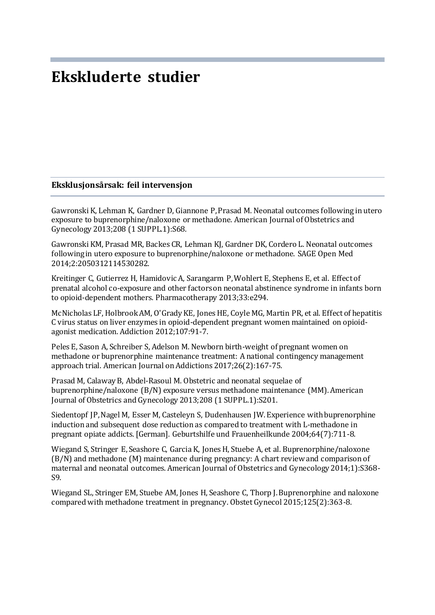# **Ekskluderte studier**

#### **Eksklusjonsårsak: feil intervensjon**

Gawronski K, Lehman K, Gardner D, Giannone P, Prasad M. Neonatal outcomes following in utero exposure to buprenorphine/naloxone or methadone. American Journal of Obstetrics and Gynecology 2013;208 (1 SUPPL.1):S68.

Gawronski KM, Prasad MR, Backes CR, Lehman KJ, Gardner DK, Cordero L. Neonatal outcomes following in utero exposure to buprenorphine/naloxone or methadone. SAGE Open Med 2014;2:2050312114530282.

Kreitinger C, Gutierrez H, Hamidovic A, Sarangarm P, Wohlert E, Stephens E, et al. Effect of prenatal alcohol co-exposure and other factors on neonatal abstinence syndrome in infants born to opioid-dependent mothers. Pharmacotherapy 2013;33:e294.

McNicholas LF, Holbrook AM, O'Grady KE, Jones HE, Coyle MG, Martin PR, et al. Effect of hepatitis C virus status on liver enzymes in opioid-dependent pregnant women maintained on opioidagonist medication. Addiction 2012;107:91-7.

Peles E, Sason A, Schreiber S, Adelson M. Newborn birth-weight of pregnant women on methadone or buprenorphine maintenance treatment: A national contingency management approach trial. American Journal on Addictions 2017;26(2):167-75.

Prasad M, Calaway B, Abdel-Rasoul M. Obstetric and neonatal sequelae of buprenorphine/naloxone (B/N) exposure versus methadone maintenance (MM). American Journal of Obstetrics and Gynecology 2013;208 (1 SUPPL.1):S201.

Siedentopf JP, Nagel M, Esser M, Casteleyn S, Dudenhausen JW. Experience with buprenorphine induction and subsequent dose reduction as compared to treatment with L-methadone in pregnant opiate addicts. [German]. Geburtshilfe und Frauenheilkunde 2004;64(7):711-8.

Wiegand S, Stringer E, Seashore C, Garcia K, Jones H, Stuebe A, et al. Buprenorphine/naloxone (B/N) and methadone (M) maintenance during pregnancy: A chart review and comparison of maternal and neonatal outcomes. American Journal of Obstetrics and Gynecology 2014;1):S368- S9.

Wiegand SL, Stringer EM, Stuebe AM, Jones H, Seashore C, Thorp J. Buprenorphine and naloxone compared with methadone treatment in pregnancy. Obstet Gynecol 2015;125(2):363-8.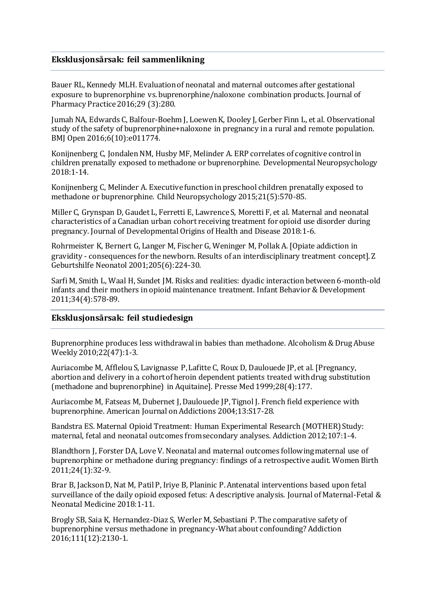### **Eksklusjonsårsak: feil sammenlikning**

Bauer RL, Kennedy MLH. Evaluation of neonatal and maternal outcomes after gestational exposure to buprenorphine vs. buprenorphine/naloxone combination products. Journal of Pharmacy Practice 2016;29 (3):280.

Jumah NA, Edwards C, Balfour-Boehm J, Loewen K, Dooley J, Gerber Finn L, et al. Observational study of the safety of buprenorphine+naloxone in pregnancy in a rural and remote population. BMJ Open 2016;6(10):e011774.

Konijnenberg C, Jondalen NM, Husby MF, Melinder A. ERP correlates of cognitive control in children prenatally exposed to methadone or buprenorphine. Developmental Neuropsychology 2018:1-14.

Konijnenberg C, Melinder A. Executive function in preschool children prenatally exposed to methadone or buprenorphine. Child Neuropsychology 2015;21(5):570-85.

Miller C, Grynspan D, Gaudet L, Ferretti E, Lawrence S, Moretti F, et al. Maternal and neonatal characteristics of a Canadian urban cohort receiving treatment for opioid use disorder during pregnancy. Journal of Developmental Origins of Health and Disease 2018:1-6.

Rohrmeister K, Bernert G, Langer M, Fischer G, Weninger M, Pollak A. [Opiate addiction in gravidity - consequences for the newborn. Results of an interdisciplinary treatment concept]. Z Geburtshilfe Neonatol 2001;205(6):224-30.

Sarfi M, Smith L, Waal H, Sundet JM. Risks and realities: dyadic interaction between 6-month-old infants and their mothers in opioid maintenance treatment. Infant Behavior & Development 2011;34(4):578-89.

### **Eksklusjonsårsak: feil studiedesign**

Buprenorphine produces less withdrawal in babies than methadone. Alcoholism & Drug Abuse Weekly 2010;22(47):1-3.

Auriacombe M, AfflelouS, Lavignasse P, Lafitte C, Roux D, Daulouede JP, et al. [Pregnancy, abortion and delivery in a cohort of heroin dependent patients treated with drug substitution (methadone and buprenorphine) in Aquitaine]. Presse Med 1999;28(4):177.

Auriacombe M, Fatseas M, Dubernet J, Daulouede JP, Tignol J. French field experience with buprenorphine. American Journal on Addictions 2004;13:S17-28.

Bandstra ES. Maternal Opioid Treatment: Human Experimental Research (MOTHER) Study: maternal, fetal and neonatal outcomes from secondary analyses. Addiction 2012;107:1-4.

Blandthorn J, Forster DA, Love V. Neonatal and maternal outcomes following maternal use of buprenorphine or methadone during pregnancy: findings of a retrospective audit. Women Birth 2011;24(1):32-9.

Brar B, Jackson D, Nat M, Patil P, Iriye B, Planinic P. Antenatal interventions based upon fetal surveillance of the daily opioid exposed fetus: A descriptive analysis. Journal of Maternal-Fetal & Neonatal Medicine 2018:1-11.

Brogly SB, Saia K, Hernandez-Diaz S, Werler M, Sebastiani P. The comparative safety of buprenorphine versus methadone in pregnancy-What about confounding? Addiction 2016;111(12):2130-1.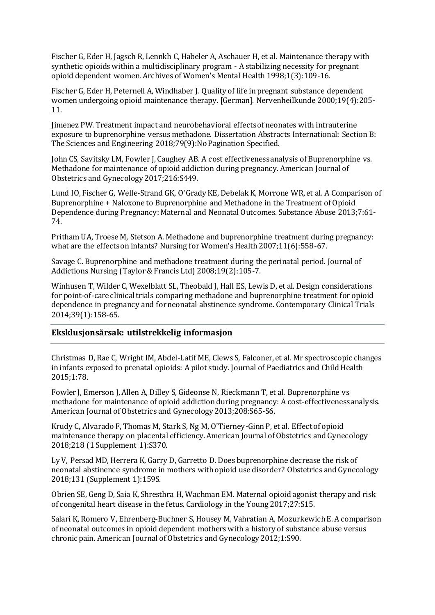Fischer G, Eder H, Jagsch R, Lennkh C, Habeler A, Aschauer H, et al. Maintenance therapy with synthetic opioids within a multidisciplinary program - A stabilizing necessity for pregnant opioid dependent women. Archives of Women's Mental Health 1998;1(3):109-16.

Fischer G, Eder H, Peternell A, Windhaber J. Quality of life in pregnant substance dependent women undergoing opioid maintenance therapy. [German]. Nervenheilkunde 2000;19(4):205- 11.

Jimenez PW. Treatment impact and neurobehavioral effects of neonates with intrauterine exposure to buprenorphine versus methadone. Dissertation Abstracts International: Section B: The Sciences and Engineering 2018;79(9):No Pagination Specified.

John CS, Savitsky LM, Fowler J, Caughey AB. A cost effectiveness analysis of Buprenorphine vs. Methadone for maintenance of opioid addiction during pregnancy. American Journal of Obstetrics and Gynecology 2017;216:S449.

Lund IO, Fischer G, Welle-Strand GK, O'Grady KE, Debelak K, Morrone WR, et al. A Comparison of Buprenorphine + Naloxone to Buprenorphine and Methadone in the Treatment of Opioid Dependence during Pregnancy: Maternal and Neonatal Outcomes. Substance Abuse 2013;7:61- 74.

Pritham UA, Troese M, Stetson A. Methadone and buprenorphine treatment during pregnancy: what are the effects on infants? Nursing for Women's Health 2007;11(6):558-67.

Savage C. Buprenorphine and methadone treatment during the perinatal period. Journal of Addictions Nursing (Taylor & Francis Ltd) 2008;19(2):105-7.

Winhusen T, Wilder C, Wexelblatt SL, Theobald J, Hall ES, Lewis D, et al. Design considerations for point-of-care clinical trials comparing methadone and buprenorphine treatment for opioid dependence in pregnancy and for neonatal abstinence syndrome. Contemporary Clinical Trials 2014;39(1):158-65.

## **Eksklusjonsårsak: utilstrekkelig informasjon**

Christmas D, Rae C, Wright IM, Abdel-Latif ME, Clews S, Falconer, et al. Mr spectroscopic changes in infants exposed to prenatal opioids: A pilot study. Journal of Paediatrics and Child Health 2015;1:78.

Fowler J, Emerson J, Allen A, Dilley S, Gideonse N, Rieckmann T, et al. Buprenorphine vs methadone for maintenance of opioid addiction during pregnancy: A cost-effectiveness analysis. American Journal of Obstetrics and Gynecology 2013;208:S65-S6.

Krudy C, Alvarado F, Thomas M, Stark S, Ng M, O'Tierney-Ginn P, et al. Effect of opioid maintenance therapy on placental efficiency. American Journal of Obstetrics and Gynecology 2018;218 (1 Supplement 1):S370.

Ly V, Persad MD, Herrera K, Garry D, Garretto D. Does buprenorphine decrease the risk of neonatal abstinence syndrome in mothers with opioid use disorder? Obstetrics and Gynecology 2018;131 (Supplement 1):159S.

Obrien SE, Geng D, Saia K, Shresthra H, Wachman EM. Maternal opioid agonist therapy and risk of congenital heart disease in the fetus. Cardiology in the Young 2017;27:S15.

Salari K, Romero V, Ehrenberg-Buchner S, Housey M, Vahratian A, Mozurkewich E. A comparison of neonatal outcomes in opioid dependent mothers with a history of substance abuse versus chronic pain. American Journal of Obstetrics and Gynecology 2012;1:S90.